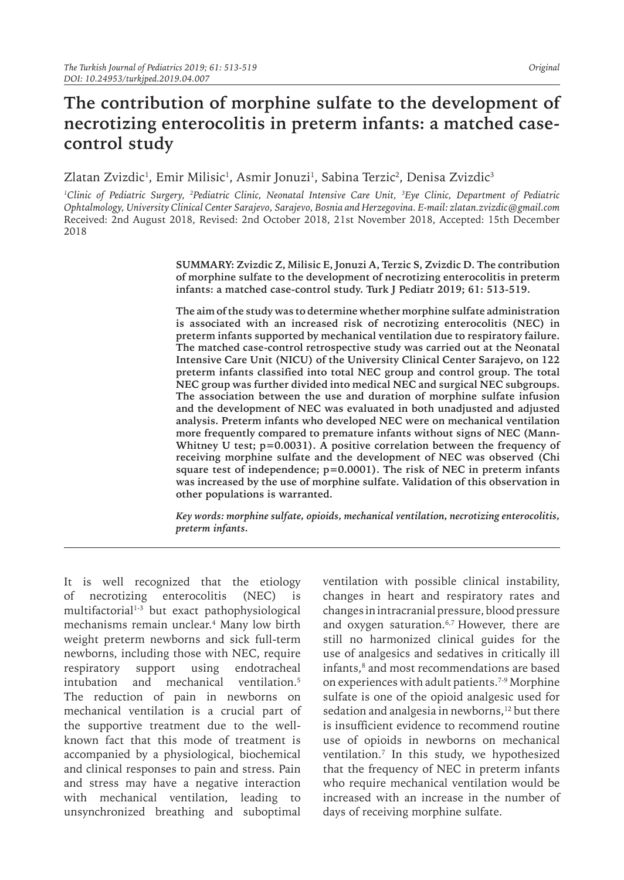# **The contribution of morphine sulfate to the development of necrotizing enterocolitis in preterm infants: a matched casecontrol study**

Zlatan Zvizdic<sup>1</sup>, Emir Milisic<sup>1</sup>, Asmir Jonuzi<sup>1</sup>, Sabina Terzic<sup>2</sup>, Denisa Zvizdic<sup>3</sup>

*1 Clinic of Pediatric Surgery, 2 Pediatric Clinic, Neonatal Intensive Care Unit, 3 Eye Clinic, Department of Pediatric Ophtalmology, University Clinical Center Sarajevo, Sarajevo, Bosnia and Herzegovina. E-mail: zlatan.zvizdic@gmail.com* Received: 2nd August 2018, Revised: 2nd October 2018, 21st November 2018, Accepted: 15th December 2018

> **SUMMARY: Zvizdic Z, Milisic E, Jonuzi A, Terzic S, Zvizdic D. The contribution of morphine sulfate to the development of necrotizing enterocolitis in preterm infants: a matched case-control study. Turk J Pediatr 2019; 61: 513-519.**

> **The aim of the study was to determine whether morphine sulfate administration is associated with an increased risk of necrotizing enterocolitis (NEC) in preterm infants supported by mechanical ventilation due to respiratory failure. The matched case-control retrospective study was carried out at the Neonatal Intensive Care Unit (NICU) of the University Clinical Center Sarajevo, on 122 preterm infants classified into total NEC group and control group. The total NEC group was further divided into medical NEC and surgical NEC subgroups. The association between the use and duration of morphine sulfate infusion and the development of NEC was evaluated in both unadjusted and adjusted analysis. Preterm infants who developed NEC were on mechanical ventilation more frequently compared to premature infants without signs of NEC (Mann-Whitney U test; p=0.0031). A positive correlation between the frequency of receiving morphine sulfate and the development of NEC was observed (Chi square test of independence; p=0.0001). The risk of NEC in preterm infants was increased by the use of morphine sulfate. Validation of this observation in other populations is warranted.**

> *Key words: morphine sulfate, opioids, mechanical ventilation, necrotizing enterocolitis, preterm infants.*

It is well recognized that the etiology of necrotizing enterocolitis (NEC) is multifactorial<sup>1-3</sup> but exact pathophysiological mechanisms remain unclear.4 Many low birth weight preterm newborns and sick full-term newborns, including those with NEC, require respiratory support using endotracheal intubation and mechanical ventilation.5 The reduction of pain in newborns on mechanical ventilation is a crucial part of the supportive treatment due to the wellknown fact that this mode of treatment is accompanied by a physiological, biochemical and clinical responses to pain and stress. Pain and stress may have a negative interaction with mechanical ventilation, leading to unsynchronized breathing and suboptimal

ventilation with possible clinical instability, changes in heart and respiratory rates and changes in intracranial pressure, blood pressure and oxygen saturation. $6,7$  However, there are still no harmonized clinical guides for the use of analgesics and sedatives in critically ill infants,8 and most recommendations are based on experiences with adult patients.7-9 Morphine sulfate is one of the opioid analgesic used for sedation and analgesia in newborns,<sup>12</sup> but there is insufficient evidence to recommend routine use of opioids in newborns on mechanical ventilation.7 In this study, we hypothesized that the frequency of NEC in preterm infants who require mechanical ventilation would be increased with an increase in the number of days of receiving morphine sulfate.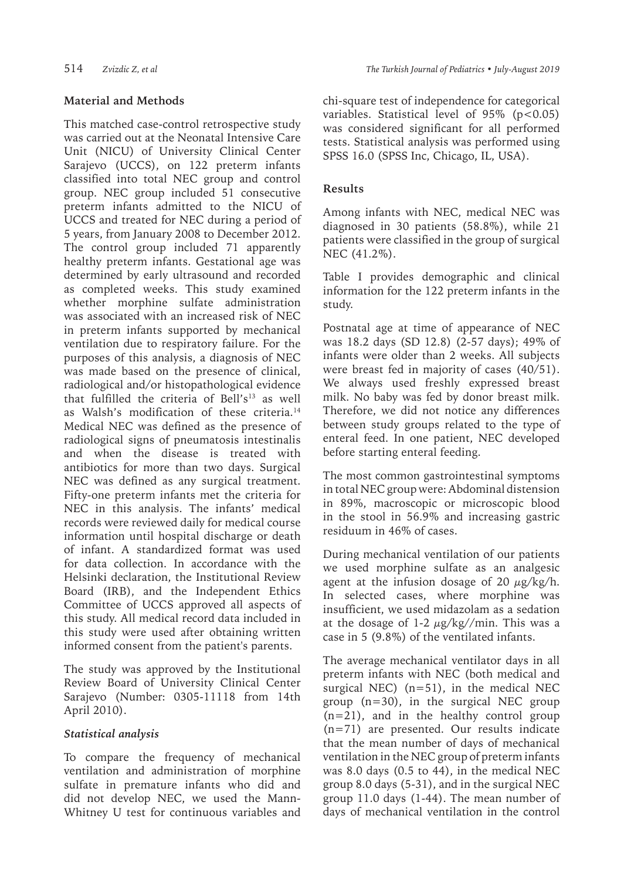## **Material and Methods**

This matched case-control retrospective study was carried out at the Neonatal Intensive Care Unit (NICU) of University Clinical Center Sarajevo (UCCS), on 122 preterm infants classified into total NEC group and control group. NEC group included 51 consecutive preterm infants admitted to the NICU of UCCS and treated for NEC during a period of 5 years, from January 2008 to December 2012. The control group included 71 apparently healthy preterm infants. Gestational age was determined by early ultrasound and recorded as completed weeks. This study examined whether morphine sulfate administration was associated with an increased risk of NEC in preterm infants supported by mechanical ventilation due to respiratory failure. For the purposes of this analysis, a diagnosis of NEC was made based on the presence of clinical, radiological and/or histopathological evidence that fulfilled the criteria of Bell's<sup>13</sup> as well as Walsh's modification of these criteria.<sup>14</sup> Medical NEC was defined as the presence of radiological signs of pneumatosis intestinalis and when the disease is treated with antibiotics for more than two days. Surgical NEC was defined as any surgical treatment. Fifty-one preterm infants met the criteria for NEC in this analysis. The infants' medical records were reviewed daily for medical course information until hospital discharge or death of infant. A standardized format was used for data collection. In accordance with the Helsinki declaration, the Institutional Review Board (IRB), and the Independent Ethics Committee of UCCS approved all aspects of this study. All medical record data included in this study were used after obtaining written informed consent from the patient's parents.

The study was approved by the Institutional Review Board of University Clinical Center Sarajevo (Number: 0305-11118 from 14th April 2010).

## *Statistical analysis*

To compare the frequency of mechanical ventilation and administration of morphine sulfate in premature infants who did and did not develop NEC, we used the Mann-Whitney U test for continuous variables and chi-square test of independence for categorical variables. Statistical level of  $95\%$  (p<0.05) was considered significant for all performed tests. Statistical analysis was performed using SPSS 16.0 (SPSS Inc, Chicago, IL, USA).

## **Results**

Among infants with NEC, medical NEC was diagnosed in 30 patients (58.8%), while 21 patients were classified in the group of surgical NEC (41.2%).

Table I provides demographic and clinical information for the 122 preterm infants in the study.

Postnatal age at time of appearance of NEC was 18.2 days (SD 12.8) (2-57 days); 49% of infants were older than 2 weeks. All subjects were breast fed in majority of cases (40/51). We always used freshly expressed breast milk. No baby was fed by donor breast milk. Therefore, we did not notice any differences between study groups related to the type of enteral feed. In one patient, NEC developed before starting enteral feeding.

The most common gastrointestinal symptoms in total NEC group were: Abdominal distension in 89%, macroscopic or microscopic blood in the stool in 56.9% and increasing gastric residuum in 46% of cases.

During mechanical ventilation of our patients we used morphine sulfate as an analgesic agent at the infusion dosage of 20  $\mu$ g/kg/h. In selected cases, where morphine was insufficient, we used midazolam as a sedation at the dosage of 1-2  $\mu$ g/kg//min. This was a case in 5 (9.8%) of the ventilated infants.

The average mechanical ventilator days in all preterm infants with NEC (both medical and surgical NEC)  $(n=51)$ , in the medical NEC group  $(n=30)$ , in the surgical NEC group  $(n=21)$ , and in the healthy control group (n=71) are presented. Our results indicate that the mean number of days of mechanical ventilation in the NEC group of preterm infants was 8.0 days (0.5 to 44), in the medical NEC group 8.0 days (5-31), and in the surgical NEC group 11.0 days (1-44). The mean number of days of mechanical ventilation in the control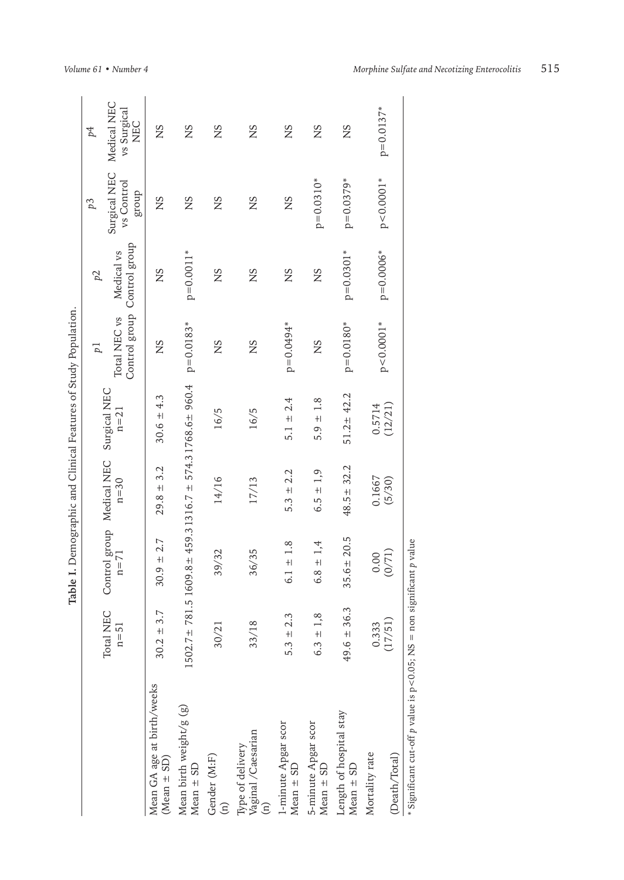|                                                                            |                       | Table I. Demographic and Clinical Features of Study Population. |                                                    |                        |                                             |               |                                     |                                   |
|----------------------------------------------------------------------------|-----------------------|-----------------------------------------------------------------|----------------------------------------------------|------------------------|---------------------------------------------|---------------|-------------------------------------|-----------------------------------|
|                                                                            |                       |                                                                 |                                                    |                        | Ŀ                                           | $\beta$       | p3                                  | p4                                |
|                                                                            | Total NEC<br>$n = 51$ | Control group Medical NEC<br>$n = 71$                           | $n = 30$                                           | Surgical NEC<br>$n=21$ | Control group Control group<br>Total NEC vs | Medical vs    | Surgical NEC<br>vs Control<br>group | Medical NEC<br>vs Surgical<br>NEC |
| Mean GA age at birth/weeks<br>$(Mean \pm SD)$                              | $30.2 \pm 3.7$        | $30.9 \pm 2.7$                                                  | $29.8 \pm 3.2$                                     | $30.6 \pm 4.3$         | SN                                          | SN            | SN                                  | SN                                |
| Mean birth weight/g (g)<br>$Mean = SD$                                     | $1502.7 \pm 781.5$    |                                                                 | $1609.8 \pm 459.31316.7 \pm 574.31768.6 \pm 960.4$ |                        | $p = 0.0183*$                               | $p=0.0011*$   | SN                                  | SN                                |
| Gender (M:F)<br>$\binom{n}{k}$                                             | 30/21                 | 39/32                                                           | 14/16                                              | 16/5                   | SN                                          | SN            | SN                                  | SN                                |
| Vaginal /Caesarian<br>Type of delivery<br>$\widehat{E}$                    | 33/18                 | 36/35                                                           | 17/13                                              | 16/5                   | SN                                          | SN            | SN                                  | SN                                |
| 1-minute Apgar scor<br>$Mean \pm SD$                                       | $5.3 \pm 2.3$         | $6.1 \pm 1.8$                                                   | $5.3 \pm 2.2$                                      | $5.1 \pm 2.4$          | $p = 0.0494*$                               | SN            | SN                                  | SN                                |
| 5-minute Apgar scor<br>Mean $\pm$ SD                                       | $6.3 \pm 1.8$         | $6.8 \pm 1,4$                                                   | $6.5 \pm 1,9$                                      | $5.9 \pm 1.8$          | SN                                          | SN            | $p=0.0310*$                         | SN                                |
| Length of hospital stay<br>Mean $\pm$ SD                                   | $49.6 \pm 36.3$       | $35.6 \pm 20.5$                                                 | $48.5 \pm 32.2$                                    | $51.2 \pm 42.2$        | $p = 0.0180*$                               | $p=0.0301*$   | $p=0.0379*$                         | SN                                |
| Mortality rate                                                             | 0.333                 | 0.00                                                            | 0.1667                                             | 0.5714                 |                                             |               |                                     |                                   |
| (Death/Total)                                                              | (17/51)               | (0/71)                                                          | (5/30)                                             | (12/21)                | $p < 0.0001*$                               | $p = 0.0006*$ | $p < 0.0001*$                       | $p=0.0137*$                       |
| * Significant cut-off p value is $p < 0.05$ ; NS = non significant p value |                       |                                                                 |                                                    |                        |                                             |               |                                     |                                   |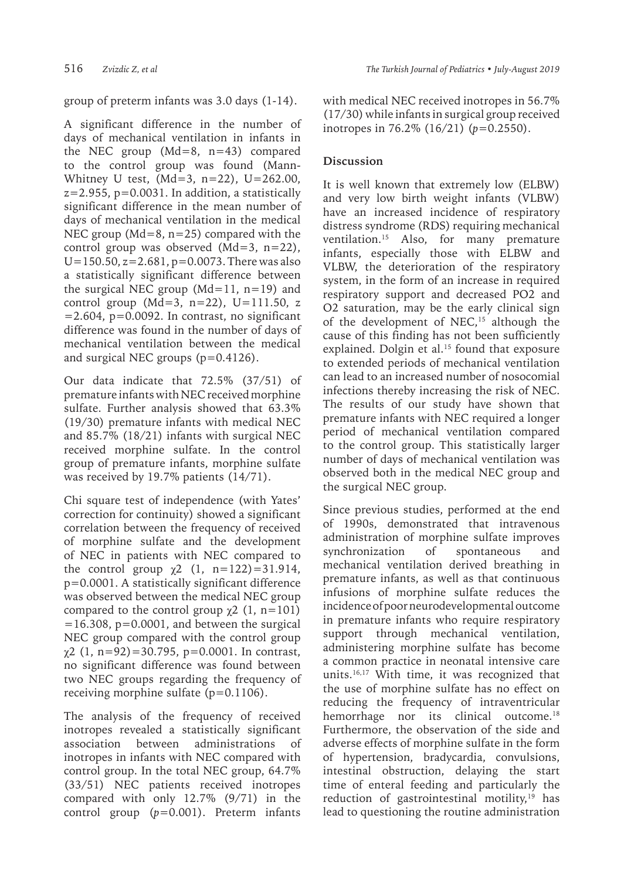group of preterm infants was 3.0 days (1-14).

A significant difference in the number of days of mechanical ventilation in infants in the NEC group  $(Md=8, n=43)$  compared to the control group was found (Mann-Whitney U test, (Md=3, n=22), U=262.00,  $z=2.955$ ,  $p=0.0031$ . In addition, a statistically significant difference in the mean number of days of mechanical ventilation in the medical NEC group ( $Md = 8$ , n=25) compared with the control group was observed (Md=3, n=22),  $U=150.50$ ,  $z=2.681$ ,  $p=0.0073$ . There was also a statistically significant difference between the surgical NEC group ( $Md=11$ ,  $n=19$ ) and control group ( $Md=3$ , n=22), U=111.50, z  $=2.604$ , p=0.0092. In contrast, no significant difference was found in the number of days of mechanical ventilation between the medical and surgical NEC groups (p=0.4126).

Our data indicate that 72.5% (37/51) of premature infants with NEC received morphine sulfate. Further analysis showed that 63.3% (19/30) premature infants with medical NEC and 85.7% (18/21) infants with surgical NEC received morphine sulfate. In the control group of premature infants, morphine sulfate was received by 19.7% patients (14/71).

Chi square test of independence (with Yates' correction for continuity) showed a significant correlation between the frequency of received of morphine sulfate and the development of NEC in patients with NEC compared to the control group  $\chi^2$  (1, n=122)=31.914, p=0.0001. A statistically significant difference was observed between the medical NEC group compared to the control group  $\chi$ 2 (1, n=101)  $=16.308$ ,  $p=0.0001$ , and between the surgical NEC group compared with the control group  $\chi$ 2 (1, n=92)=30.795, p=0.0001. In contrast, no significant difference was found between two NEC groups regarding the frequency of receiving morphine sulfate  $(p=0.1106)$ .

The analysis of the frequency of received inotropes revealed a statistically significant association between administrations of inotropes in infants with NEC compared with control group. In the total NEC group, 64.7% (33/51) NEC patients received inotropes compared with only 12.7% (9/71) in the control group (*p*=0.001). Preterm infants

with medical NEC received inotropes in 56.7% (17/30) while infants in surgical group received inotropes in 76.2% (16/21) (*p*=0.2550).

## **Discussion**

It is well known that extremely low (ELBW) and very low birth weight infants (VLBW) have an increased incidence of respiratory distress syndrome (RDS) requiring mechanical ventilation.15 Also, for many premature infants, especially those with ELBW and VLBW, the deterioration of the respiratory system, in the form of an increase in required respiratory support and decreased PO2 and O2 saturation, may be the early clinical sign of the development of NEC,<sup>15</sup> although the cause of this finding has not been sufficiently explained. Dolgin et al.<sup>15</sup> found that exposure to extended periods of mechanical ventilation can lead to an increased number of nosocomial infections thereby increasing the risk of NEC. The results of our study have shown that premature infants with NEC required a longer period of mechanical ventilation compared to the control group. This statistically larger number of days of mechanical ventilation was observed both in the medical NEC group and the surgical NEC group.

Since previous studies, performed at the end of 1990s, demonstrated that intravenous administration of morphine sulfate improves synchronization of spontaneous and mechanical ventilation derived breathing in premature infants, as well as that continuous infusions of morphine sulfate reduces the incidence of poor neurodevelopmental outcome in premature infants who require respiratory support through mechanical ventilation, administering morphine sulfate has become a common practice in neonatal intensive care units.16,17 With time, it was recognized that the use of morphine sulfate has no effect on reducing the frequency of intraventricular hemorrhage nor its clinical outcome.<sup>18</sup> Furthermore, the observation of the side and adverse effects of morphine sulfate in the form of hypertension, bradycardia, convulsions, intestinal obstruction, delaying the start time of enteral feeding and particularly the reduction of gastrointestinal motility,<sup>19</sup> has lead to questioning the routine administration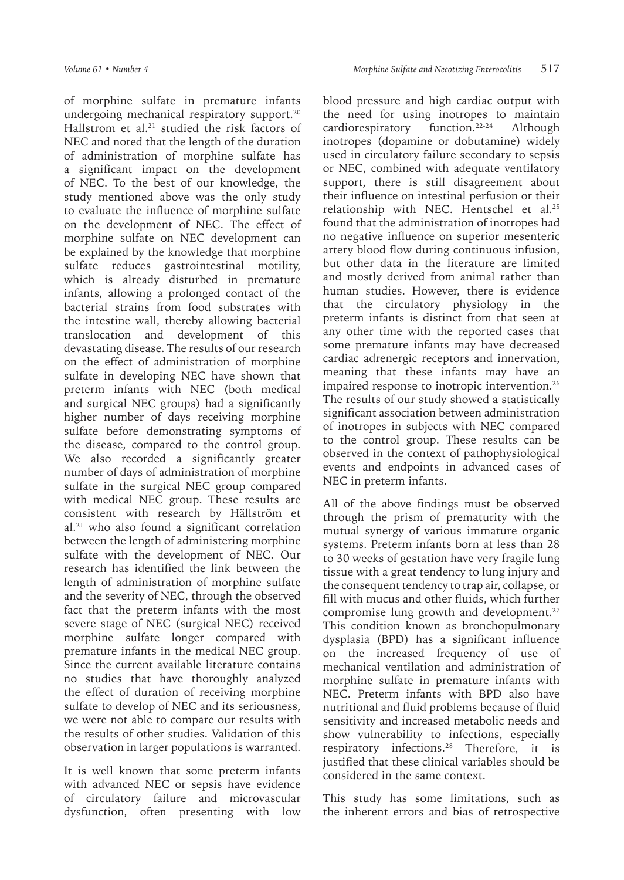of morphine sulfate in premature infants undergoing mechanical respiratory support.<sup>20</sup> Hallstrom et al.<sup>21</sup> studied the risk factors of NEC and noted that the length of the duration of administration of morphine sulfate has a significant impact on the development of NEC. To the best of our knowledge, the study mentioned above was the only study to evaluate the influence of morphine sulfate on the development of NEC. The effect of morphine sulfate on NEC development can be explained by the knowledge that morphine sulfate reduces gastrointestinal motility, which is already disturbed in premature infants, allowing a prolonged contact of the bacterial strains from food substrates with the intestine wall, thereby allowing bacterial translocation and development of this devastating disease. The results of our research on the effect of administration of morphine sulfate in developing NEC have shown that preterm infants with NEC (both medical and surgical NEC groups) had a significantly higher number of days receiving morphine sulfate before demonstrating symptoms of the disease, compared to the control group. We also recorded a significantly greater number of days of administration of morphine sulfate in the surgical NEC group compared with medical NEC group. These results are consistent with research by Hällström et al.21 who also found a significant correlation between the length of administering morphine sulfate with the development of NEC. Our research has identified the link between the length of administration of morphine sulfate and the severity of NEC, through the observed fact that the preterm infants with the most severe stage of NEC (surgical NEC) received morphine sulfate longer compared with premature infants in the medical NEC group. Since the current available literature contains no studies that have thoroughly analyzed the effect of duration of receiving morphine sulfate to develop of NEC and its seriousness, we were not able to compare our results with the results of other studies. Validation of this observation in larger populations is warranted.

It is well known that some preterm infants with advanced NEC or sepsis have evidence of circulatory failure and microvascular dysfunction, often presenting with low

blood pressure and high cardiac output with the need for using inotropes to maintain cardiorespiratory function.22-24 Although inotropes (dopamine or dobutamine) widely used in circulatory failure secondary to sepsis or NEC, combined with adequate ventilatory support, there is still disagreement about their influence on intestinal perfusion or their relationship with NEC. Hentschel et al.<sup>25</sup> found that the administration of inotropes had no negative influence on superior mesenteric artery blood flow during continuous infusion, but other data in the literature are limited and mostly derived from animal rather than human studies. However, there is evidence that the circulatory physiology in the preterm infants is distinct from that seen at any other time with the reported cases that some premature infants may have decreased cardiac adrenergic receptors and innervation, meaning that these infants may have an impaired response to inotropic intervention.26 The results of our study showed a statistically significant association between administration of inotropes in subjects with NEC compared to the control group. These results can be observed in the context of pathophysiological events and endpoints in advanced cases of NEC in preterm infants.

All of the above findings must be observed through the prism of prematurity with the mutual synergy of various immature organic systems. Preterm infants born at less than 28 to 30 weeks of gestation have very fragile lung tissue with a great tendency to lung injury and the consequent tendency to trap air, collapse, or fill with mucus and other fluids, which further compromise lung growth and development.27 This condition known as bronchopulmonary dysplasia (BPD) has a significant influence on the increased frequency of use of mechanical ventilation and administration of morphine sulfate in premature infants with NEC. Preterm infants with BPD also have nutritional and fluid problems because of fluid sensitivity and increased metabolic needs and show vulnerability to infections, especially respiratory infections.28 Therefore, it is justified that these clinical variables should be considered in the same context.

This study has some limitations, such as the inherent errors and bias of retrospective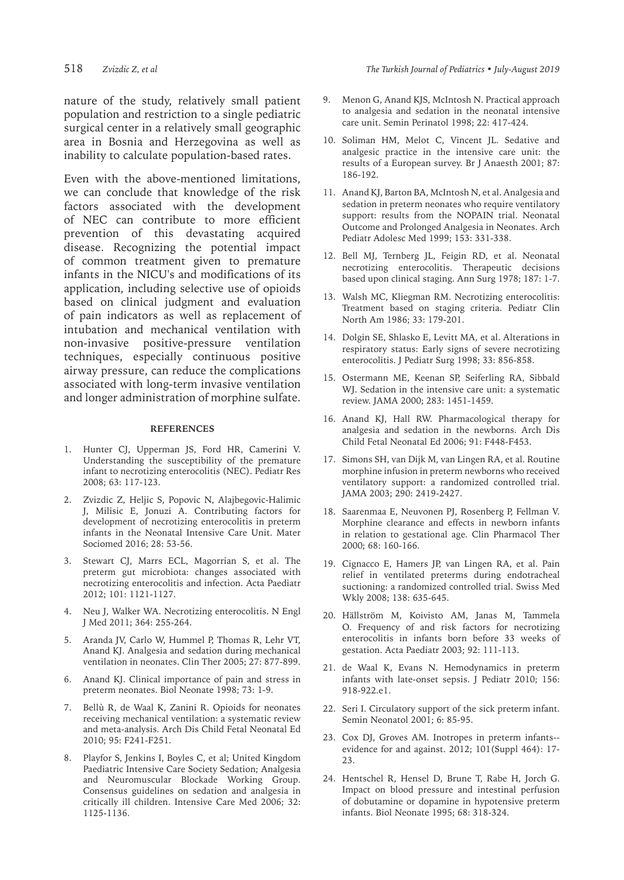nature of the study, relatively small patient population and restriction to a single pediatric surgical center in a relatively small geographic area in Bosnia and Herzegovina as well as inability to calculate population-based rates.

Even with the above-mentioned limitations, we can conclude that knowledge of the risk factors associated with the development of NEC can contribute to more efficient prevention of this devastating acquired disease. Recognizing the potential impact of common treatment given to premature infants in the NICU's and modifications of its application, including selective use of opioids based on clinical judgment and evaluation of pain indicators as well as replacement of intubation and mechanical ventilation with non-invasive positive-pressure ventilation techniques, especially continuous positive airway pressure, can reduce the complications associated with long-term invasive ventilation and longer administration of morphine sulfate.

#### **REFERENCES**

- 1. Hunter CJ, Upperman JS, Ford HR, Camerini V. Understanding the susceptibility of the premature infant to necrotizing enterocolitis (NEC). Pediatr Res 2008; 63: 117-123.
- 2. Zvizdic Z, Heljic S, Popovic N, Alajbegovic-Halimic J, Milisic E, Jonuzi A. Contributing factors for development of necrotizing enterocolitis in preterm infants in the Neonatal Intensive Care Unit. Mater Sociomed 2016; 28: 53-56.
- 3. Stewart CJ, Marrs ECL, Magorrian S, et al. The preterm gut microbiota: changes associated with necrotizing enterocolitis and infection. Acta Paediatr 2012; 101: 1121-1127.
- 4. Neu J, Walker WA. Necrotizing enterocolitis. N Engl J Med 2011; 364: 255-264.
- 5. Aranda JV, Carlo W, Hummel P, Thomas R, Lehr VT, Anand KJ. Analgesia and sedation during mechanical ventilation in neonates. Clin Ther 2005; 27: 877-899.
- 6. Anand KJ. Clinical importance of pain and stress in preterm neonates. Biol Neonate 1998; 73: 1-9.
- 7. Bellù R, de Waal K, Zanini R. Opioids for neonates receiving mechanical ventilation: a systematic review and meta-analysis. Arch Dis Child Fetal Neonatal Ed 2010; 95: F241-F251.
- 8. Playfor S, Jenkins I, Boyles C, et al; United Kingdom Paediatric Intensive Care Society Sedation; Analgesia and Neuromuscular Blockade Working Group. Consensus guidelines on sedation and analgesia in critically ill children. Intensive Care Med 2006; 32: 1125-1136.
- 9. Menon G, Anand KJS, McIntosh N. Practical approach to analgesia and sedation in the neonatal intensive care unit. Semin Perinatol 1998; 22: 417-424.
- 10. Soliman HM, Melot C, Vincent JL. Sedative and analgesic practice in the intensive care unit: the results of a European survey. Br J Anaesth 2001; 87: 186-192.
- 11. Anand KJ, Barton BA, McIntosh N, et al. Analgesia and sedation in preterm neonates who require ventilatory support: results from the NOPAIN trial. Neonatal Outcome and Prolonged Analgesia in Neonates. Arch Pediatr Adolesc Med 1999; 153: 331-338.
- 12. Bell MJ, Ternberg JL, Feigin RD, et al. Neonatal necrotizing enterocolitis. Therapeutic decisions based upon clinical staging. Ann Surg 1978; 187: 1-7.
- 13. Walsh MC, Kliegman RM. Necrotizing enterocolitis: Treatment based on staging criteria. Pediatr Clin North Am 1986; 33: 179-201.
- 14. Dolgin SE, Shlasko E, Levitt MA, et al. Alterations in respiratory status: Early signs of severe necrotizing enterocolitis. J Pediatr Surg 1998; 33: 856-858.
- 15. Ostermann ME, Keenan SP, Seiferling RA, Sibbald WJ. Sedation in the intensive care unit: a systematic review. JAMA 2000; 283: 1451-1459.
- 16. Anand KJ, Hall RW. Pharmacological therapy for analgesia and sedation in the newborns. Arch Dis Child Fetal Neonatal Ed 2006; 91: F448-F453.
- 17. Simons SH, van Dijk M, van Lingen RA, et al. Routine morphine infusion in preterm newborns who received ventilatory support: a randomized controlled trial. JAMA 2003; 290: 2419-2427.
- 18. Saarenmaa E, Neuvonen PJ, Rosenberg P, Fellman V. Morphine clearance and effects in newborn infants in relation to gestational age. Clin Pharmacol Ther 2000; 68: 160-166.
- 19. Cignacco E, Hamers JP, van Lingen RA, et al. Pain relief in ventilated preterms during endotracheal suctioning: a randomized controlled trial. Swiss Med Wkly 2008; 138: 635-645.
- 20. Hällström M, Koivisto AM, Janas M, Tammela O. Frequency of and risk factors for necrotizing enterocolitis in infants born before 33 weeks of gestation. Acta Paediatr 2003; 92: 111-113.
- 21. de Waal K, Evans N. Hemodynamics in preterm infants with late-onset sepsis. J Pediatr 2010; 156: 918-922.e1.
- 22. Seri I. Circulatory support of the sick preterm infant. Semin Neonatol 2001; 6: 85-95.
- 23. Cox DJ, Groves AM. Inotropes in preterm infants- evidence for and against. 2012; 101(Suppl 464): 17- 23.
- 24. Hentschel R, Hensel D, Brune T, Rabe H, Jorch G. Impact on blood pressure and intestinal perfusion of dobutamine or dopamine in hypotensive preterm infants. Biol Neonate 1995; 68: 318-324.